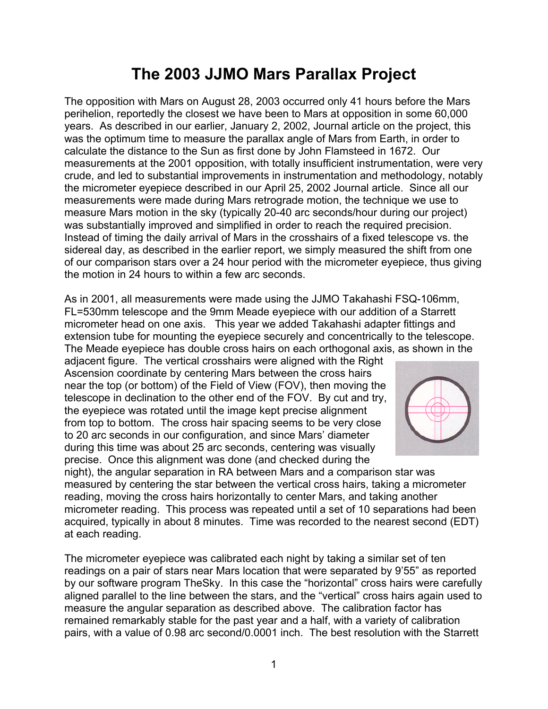# **The 2003 JJMO Mars Parallax Project**

The opposition with Mars on August 28, 2003 occurred only 41 hours before the Mars perihelion, reportedly the closest we have been to Mars at opposition in some 60,000 years. As described in our earlier, January 2, 2002, Journal article on the project, this was the optimum time to measure the parallax angle of Mars from Earth, in order to calculate the distance to the Sun as first done by John Flamsteed in 1672. Our measurements at the 2001 opposition, with totally insufficient instrumentation, were very crude, and led to substantial improvements in instrumentation and methodology, notably the micrometer eyepiece described in our April 25, 2002 Journal article. Since all our measurements were made during Mars retrograde motion, the technique we use to measure Mars motion in the sky (typically 20-40 arc seconds/hour during our project) was substantially improved and simplified in order to reach the required precision. Instead of timing the daily arrival of Mars in the crosshairs of a fixed telescope vs. the sidereal day, as described in the earlier report, we simply measured the shift from one of our comparison stars over a 24 hour period with the micrometer eyepiece, thus giving the motion in 24 hours to within a few arc seconds.

As in 2001, all measurements were made using the JJMO Takahashi FSQ-106mm, FL=530mm telescope and the 9mm Meade eyepiece with our addition of a Starrett micrometer head on one axis. This year we added Takahashi adapter fittings and extension tube for mounting the eyepiece securely and concentrically to the telescope. The Meade eyepiece has double cross hairs on each orthogonal axis, as shown in the

adjacent figure. The vertical crosshairs were aligned with the Right Ascension coordinate by centering Mars between the cross hairs near the top (or bottom) of the Field of View (FOV), then moving the telescope in declination to the other end of the FOV. By cut and try, the eyepiece was rotated until the image kept precise alignment from top to bottom. The cross hair spacing seems to be very close to 20 arc seconds in our configuration, and since Mars' diameter during this time was about 25 arc seconds, centering was visually precise. Once this alignment was done (and checked during the



night), the angular separation in RA between Mars and a comparison star was measured by centering the star between the vertical cross hairs, taking a micrometer reading, moving the cross hairs horizontally to center Mars, and taking another micrometer reading. This process was repeated until a set of 10 separations had been acquired, typically in about 8 minutes. Time was recorded to the nearest second (EDT) at each reading.

The micrometer eyepiece was calibrated each night by taking a similar set of ten readings on a pair of stars near Mars location that were separated by 9'55" as reported by our software program TheSky. In this case the "horizontal" cross hairs were carefully aligned parallel to the line between the stars, and the "vertical" cross hairs again used to measure the angular separation as described above. The calibration factor has remained remarkably stable for the past year and a half, with a variety of calibration pairs, with a value of 0.98 arc second/0.0001 inch. The best resolution with the Starrett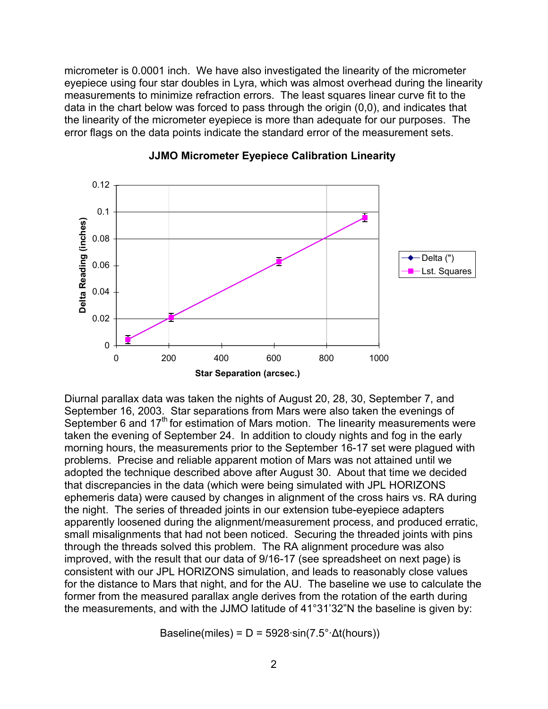micrometer is 0.0001 inch. We have also investigated the linearity of the micrometer eyepiece using four star doubles in Lyra, which was almost overhead during the linearity measurements to minimize refraction errors. The least squares linear curve fit to the data in the chart below was forced to pass through the origin (0,0), and indicates that the linearity of the micrometer eyepiece is more than adequate for our purposes. The error flags on the data points indicate the standard error of the measurement sets.



#### **JJMO Micrometer Eyepiece Calibration Linearity**

Diurnal parallax data was taken the nights of August 20, 28, 30, September 7, and September 16, 2003. Star separations from Mars were also taken the evenings of September 6 and  $17<sup>th</sup>$  for estimation of Mars motion. The linearity measurements were taken the evening of September 24. In addition to cloudy nights and fog in the early morning hours, the measurements prior to the September 16-17 set were plagued with problems. Precise and reliable apparent motion of Mars was not attained until we adopted the technique described above after August 30. About that time we decided that discrepancies in the data (which were being simulated with JPL HORIZONS ephemeris data) were caused by changes in alignment of the cross hairs vs. RA during the night. The series of threaded joints in our extension tube-eyepiece adapters apparently loosened during the alignment/measurement process, and produced erratic, small misalignments that had not been noticed. Securing the threaded joints with pins through the threads solved this problem. The RA alignment procedure was also improved, with the result that our data of 9/16-17 (see spreadsheet on next page) is consistent with our JPL HORIZONS simulation, and leads to reasonably close values for the distance to Mars that night, and for the AU. The baseline we use to calculate the former from the measured parallax angle derives from the rotation of the earth during the measurements, and with the JJMO latitude of 41°31'32"N the baseline is given by:

Baseline(miles) = D = 5928·sin(7.5°· $\Delta t$ (hours))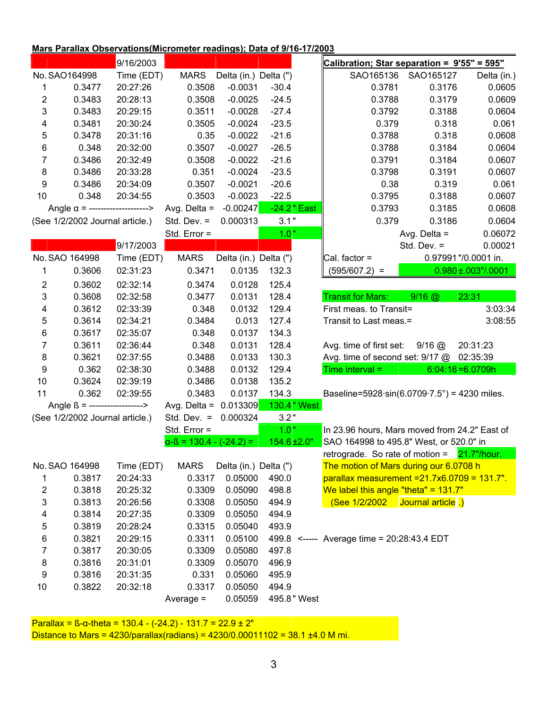#### **Mars Parallax Observations(Micrometer readings); Data of 9/16-17/2003**

|                                        |                | 9/16/2003               |                                 |                       |                   | Calibration; Star separation = 9'55" = 595"                          |                |                           |
|----------------------------------------|----------------|-------------------------|---------------------------------|-----------------------|-------------------|----------------------------------------------------------------------|----------------|---------------------------|
|                                        | No. SAO164998  | Time (EDT)              | <b>MARS</b>                     | Delta (in.) Delta (") |                   | SAO165136                                                            | SAO165127      | Delta (in.)               |
| 1                                      | 0.3477         | 20:27:26                | 0.3508                          | $-0.0031$             | $-30.4$           | 0.3781                                                               | 0.3176         | 0.0605                    |
| 2                                      | 0.3483         | 20:28:13                | 0.3508                          | $-0.0025$             | $-24.5$           | 0.3788                                                               | 0.3179         | 0.0609                    |
| 3                                      | 0.3483         | 20:29:15                | 0.3511                          | $-0.0028$             | $-27.4$           | 0.3792                                                               | 0.3188         | 0.0604                    |
| 4                                      | 0.3481         | 20:30:24                | 0.3505                          | $-0.0024$             | $-23.5$           | 0.379                                                                | 0.318          | 0.061                     |
| 5                                      | 0.3478         | 20:31:16                | 0.35                            | $-0.0022$             | $-21.6$           | 0.3788                                                               | 0.318          | 0.0608                    |
| 6                                      | 0.348          | 20:32:00                | 0.3507                          | $-0.0027$             | $-26.5$           | 0.3788                                                               | 0.3184         | 0.0604                    |
| 7                                      | 0.3486         | 20:32:49                | 0.3508                          | $-0.0022$             | $-21.6$           | 0.3791                                                               | 0.3184         | 0.0607                    |
| 8                                      | 0.3486         | 20:33:28                | 0.351                           | $-0.0024$             | $-23.5$           | 0.3798                                                               | 0.3191         | 0.0607                    |
| 9                                      | 0.3486         | 20:34:09                | 0.3507                          | $-0.0021$             | $-20.6$           | 0.38                                                                 | 0.319          | 0.061                     |
| 10                                     | 0.348          | 20:34:55                | 0.3503                          | $-0.0023$             | $-22.5$           | 0.3795                                                               | 0.3188         | 0.0607                    |
| Angle $\alpha$ = --------------------> |                |                         | Avg. Delta $=$                  | $-0.00247$            | -24.2" East       | 0.3793                                                               | 0.3185         | 0.0608                    |
| (See 1/2/2002 Journal article.)        |                |                         | Std. Dev. $=$                   | 0.000313              | 3.1"              | 0.379                                                                | 0.3186         | 0.0604                    |
|                                        |                |                         | Std. Error =                    |                       | 1.0"              |                                                                      | Avg. Delta $=$ | 0.06072                   |
|                                        |                | 9/17/2003               |                                 |                       |                   |                                                                      | Std. Dev. $=$  | 0.00021                   |
|                                        | No. SAO 164998 | Time (EDT)              | <b>MARS</b>                     | Delta (in.) Delta (") |                   | Cal. factor $=$                                                      |                | 0.97991"/0.0001 in.       |
| 1                                      | 0.3606         | 02:31:23                | 0.3471                          | 0.0135                | 132.3             | $(595/607.2)$ =                                                      |                | $0.980 \pm 0.003$ "/.0001 |
| 2                                      | 0.3602         | 02:32:14                | 0.3474                          | 0.0128                | 125.4             |                                                                      |                |                           |
| 3                                      | 0.3608         | 02:32:58                | 0.3477                          | 0.0131                | 128.4             | <b>Transit for Mars:</b>                                             | $9/16$ @       | 23:31                     |
| 4                                      | 0.3612         | 02:33:39                | 0.348                           | 0.0132                | 129.4             | First meas. to Transit=                                              |                | 3:03:34                   |
| 5                                      | 0.3614         | 02:34:21                | 0.3484                          | 0.013                 | 127.4             | Transit to Last meas.=                                               |                | 3:08:55                   |
| 6                                      | 0.3617         | 02:35:07                | 0.348                           | 0.0137                | 134.3             |                                                                      |                |                           |
| 7                                      | 0.3611         | 02:36:44                | 0.348                           | 0.0131                | 128.4             | Avg. time of first set:                                              | $9/16$ $@$     | 20:31:23                  |
| 8                                      | 0.3621         | 02:37:55                | 0.3488                          | 0.0133                | 130.3             | Avg. time of second set: 9/17 @ 02:35:39                             |                |                           |
| 9                                      | 0.362          | 02:38:30                | 0.3488                          | 0.0132                | 129.4             | Time interval $=$                                                    |                | $6:04:16 = 6.0709h$       |
| 10                                     | 0.3624         | 02:39:19                | 0.3486                          | 0.0138                | 135.2             |                                                                      |                |                           |
| 11                                     | 0.362          | 02:39:55                | 0.3483                          | 0.0137                | 134.3             | Baseline=5928 $\cdot$ sin(6.0709 $\cdot$ 7.5 $\circ$ ) = 4230 miles. |                |                           |
| Angle $\beta$ = ------------------>    |                | Avg. Delta = $0.013309$ |                                 | 130.4" West           |                   |                                                                      |                |                           |
| (See 1/2/2002 Journal article.)        |                |                         | Std. Dev. $=$                   | 0.000324              | 3.2"              |                                                                      |                |                           |
|                                        |                |                         | Std. Error =                    |                       | 1.0"              | In 23.96 hours, Mars moved from 24.2" East of                        |                |                           |
|                                        |                |                         | $\alpha$ -ß = 130.4 - (-24.2) = |                       | $154.6 \pm 2.0$ " | SAO 164998 to 495.8" West, or 520.0" in                              |                |                           |
|                                        |                |                         |                                 |                       |                   | retrograde. So rate of motion = $21.7$ "/hour.                       |                |                           |
|                                        | No. SAO 164998 | Time (EDT)              | <b>MARS</b>                     | Delta (in.) Delta (") |                   | The motion of Mars during our 6.0708 h                               |                |                           |
| 1                                      | 0.3817         | 20:24:33                | 0.3317                          | 0.05000               | 490.0             | $parallax measurement = 21.7x6.0709 = 131.7"$ .                      |                |                           |
| 2                                      | 0.3818         | 20:25:32                | 0.3309                          | 0.05090               | 498.8             | We label this angle "theta" = $131.7$ "                              |                |                           |
| 3                                      | 0.3813         | 20:26:56                | 0.3308                          | 0.05050               | 494.9             | $(See$ 1/2/2002 Journal article .)                                   |                |                           |
| 4                                      | 0.3814         | 20:27:35                | 0.3309                          | 0.05050               | 494.9             |                                                                      |                |                           |
| 5                                      | 0.3819         | 20:28:24                | 0.3315                          | 0.05040               | 493.9             |                                                                      |                |                           |
| 6                                      | 0.3821         | 20:29:15                | 0.3311                          | 0.05100               |                   | 499.8 <----- Average time = 20:28:43.4 EDT                           |                |                           |
| 7                                      | 0.3817         | 20:30:05                | 0.3309                          | 0.05080               | 497.8             |                                                                      |                |                           |
| 8                                      | 0.3816         | 20:31:01                | 0.3309                          | 0.05070               | 496.9             |                                                                      |                |                           |
| 9                                      | 0.3816         | 20:31:35                | 0.331                           | 0.05060               | 495.9             |                                                                      |                |                           |
| 10                                     | 0.3822         | 20:32:18                | 0.3317                          | 0.05050               | 494.9             |                                                                      |                |                           |
|                                        |                |                         | Average $=$                     | 0.05059               | 495.8" West       |                                                                      |                |                           |

Parallax =  $\beta$ -α-theta = 130.4 - (-24.2) - 131.7 = 22.9 ± 2" Distance to Mars = 4230/parallax(radians) = 4230/0.00011102 = 38.1 ±4.0 M mi.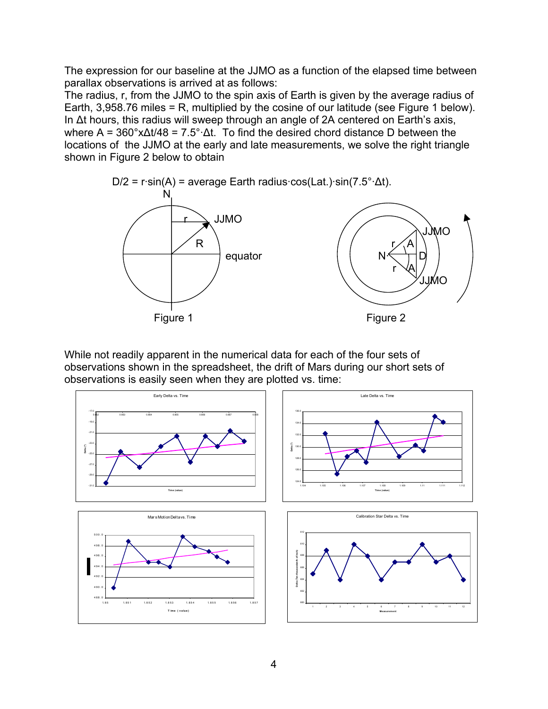The expression for our baseline at the JJMO as a function of the elapsed time between parallax observations is arrived at as follows:

The radius, r, from the JJMO to the spin axis of Earth is given by the average radius of Earth, 3,958.76 miles = R, multiplied by the cosine of our latitude (see Figure 1 below). In ∆t hours, this radius will sweep through an angle of 2A centered on Earth's axis, where A = 360°x∆t/48 = 7.5°·∆t. To find the desired chord distance D between the locations of the JJMO at the early and late measurements, we solve the right triangle shown in Figure 2 below to obtain



While not readily apparent in the numerical data for each of the four sets of observations shown in the spreadsheet, the drift of Mars during our short sets of observations is easily seen when they are plotted vs. time:

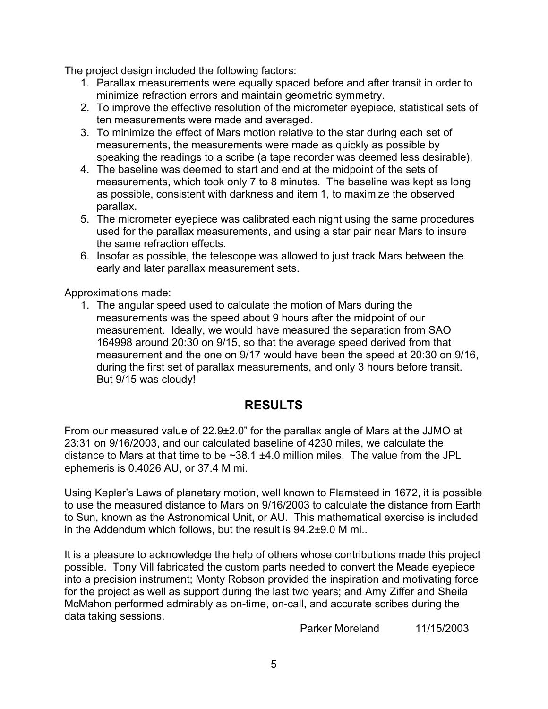The project design included the following factors:

- 1. Parallax measurements were equally spaced before and after transit in order to minimize refraction errors and maintain geometric symmetry.
- 2. To improve the effective resolution of the micrometer eyepiece, statistical sets of ten measurements were made and averaged.
- 3. To minimize the effect of Mars motion relative to the star during each set of measurements, the measurements were made as quickly as possible by speaking the readings to a scribe (a tape recorder was deemed less desirable).
- 4. The baseline was deemed to start and end at the midpoint of the sets of measurements, which took only 7 to 8 minutes. The baseline was kept as long as possible, consistent with darkness and item 1, to maximize the observed parallax.
- 5. The micrometer eyepiece was calibrated each night using the same procedures used for the parallax measurements, and using a star pair near Mars to insure the same refraction effects.
- 6. Insofar as possible, the telescope was allowed to just track Mars between the early and later parallax measurement sets.

Approximations made:

1. The angular speed used to calculate the motion of Mars during the measurements was the speed about 9 hours after the midpoint of our measurement. Ideally, we would have measured the separation from SAO 164998 around 20:30 on 9/15, so that the average speed derived from that measurement and the one on 9/17 would have been the speed at 20:30 on 9/16, during the first set of parallax measurements, and only 3 hours before transit. But 9/15 was cloudy!

## **RESULTS**

From our measured value of 22.9±2.0" for the parallax angle of Mars at the JJMO at 23:31 on 9/16/2003, and our calculated baseline of 4230 miles, we calculate the distance to Mars at that time to be  $\sim$ 38.1  $\pm$ 4.0 million miles. The value from the JPL ephemeris is 0.4026 AU, or 37.4 M mi.

Using Kepler's Laws of planetary motion, well known to Flamsteed in 1672, it is possible to use the measured distance to Mars on 9/16/2003 to calculate the distance from Earth to Sun, known as the Astronomical Unit, or AU. This mathematical exercise is included in the Addendum which follows, but the result is 94.2±9.0 M mi..

It is a pleasure to acknowledge the help of others whose contributions made this project possible. Tony Vill fabricated the custom parts needed to convert the Meade eyepiece into a precision instrument; Monty Robson provided the inspiration and motivating force for the project as well as support during the last two years; and Amy Ziffer and Sheila McMahon performed admirably as on-time, on-call, and accurate scribes during the data taking sessions.

Parker Moreland 11/15/2003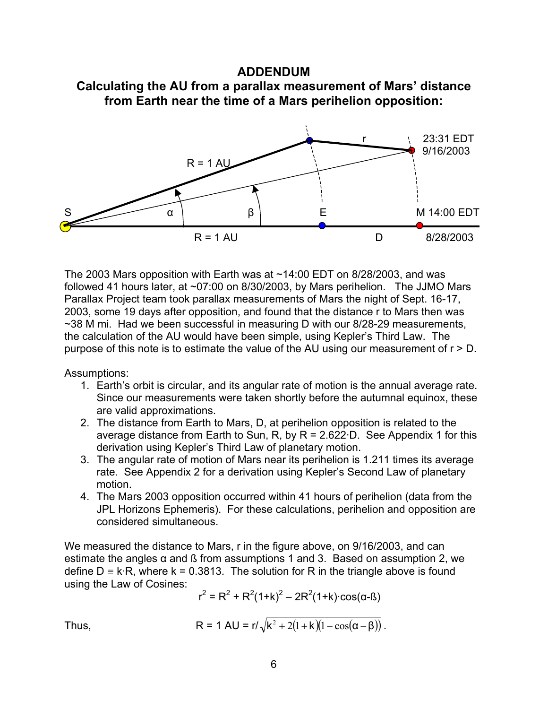#### **ADDENDUM**





The 2003 Mars opposition with Earth was at ~14:00 EDT on 8/28/2003, and was followed 41 hours later, at ~07:00 on 8/30/2003, by Mars perihelion. The JJMO Mars Parallax Project team took parallax measurements of Mars the night of Sept. 16-17, 2003, some 19 days after opposition, and found that the distance r to Mars then was ~38 M mi. Had we been successful in measuring D with our 8/28-29 measurements, the calculation of the AU would have been simple, using Kepler's Third Law. The purpose of this note is to estimate the value of the AU using our measurement of r > D.

Assumptions:

- 1. Earth's orbit is circular, and its angular rate of motion is the annual average rate. Since our measurements were taken shortly before the autumnal equinox, these are valid approximations.
- 2. The distance from Earth to Mars, D, at perihelion opposition is related to the average distance from Earth to Sun, R, by  $R = 2.622 \cdot D$ . See Appendix 1 for this derivation using Kepler's Third Law of planetary motion.
- 3. The angular rate of motion of Mars near its perihelion is 1.211 times its average rate. See Appendix 2 for a derivation using Kepler's Second Law of planetary motion.
- 4. The Mars 2003 opposition occurred within 41 hours of perihelion (data from the JPL Horizons Ephemeris). For these calculations, perihelion and opposition are considered simultaneous.

We measured the distance to Mars, r in the figure above, on 9/16/2003, and can estimate the angles  $\alpha$  and ß from assumptions 1 and 3. Based on assumption 2, we define  $D = k \cdot R$ , where  $k = 0.3813$ . The solution for R in the triangle above is found using the Law of Cosines:

$$
r^2 = R^2 + R^2(1+k)^2 - 2R^2(1+k) \cdot \cos(\alpha - \beta)
$$

Thus, 
$$
R = 1 \text{ AU} = r/\sqrt{k^2 + 2(1+k)(1-\cos(\alpha-\beta))}
$$
.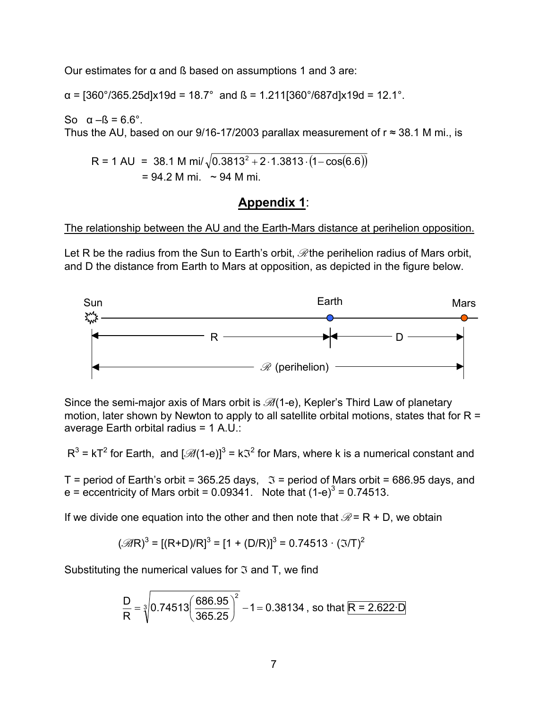Our estimates for  $α$  and  $β$  based on assumptions 1 and 3 are:

 $\alpha$  = [360°/365.25d]x19d = 18.7° and ß = 1.211[360°/687d]x19d = 12.1°.

So  $\alpha - \beta = 6.6^\circ$ . Thus the AU, based on our 9/16-17/2003 parallax measurement of  $r \approx 38.1$  M mi., is

 $R = 1 \text{ AU} = 38.1 \text{ M mi} / \sqrt{0.3813^2 + 2 \cdot 1.3813 \cdot (1 - \cos(6.6))}$  $= 94.2$  M mi. ~ 94 M mi.

## **Appendix 1**:

#### The relationship between the AU and the Earth-Mars distance at perihelion opposition.

Let R be the radius from the Sun to Earth's orbit,  $\mathcal{R}$  the perihelion radius of Mars orbit, and D the distance from Earth to Mars at opposition, as depicted in the figure below.



Since the semi-major axis of Mars orbit is  $\mathcal{A}(1-e)$ , Kepler's Third Law of planetary motion, later shown by Newton to apply to all satellite orbital motions, states that for  $R =$ average Earth orbital radius = 1 A.U.:

 $R^3$  = kT<sup>2</sup> for Earth, and  $\left[\mathcal{B}/(1-e)\right]^3$  = k $\mathcal{F}^2$  for Mars, where k is a numerical constant and

T = period of Earth's orbit = 365.25 days,  $\Im$  = period of Mars orbit = 686.95 days, and e = eccentricity of Mars orbit = 0.09341. Note that  $(1-e)^3$  = 0.74513.

If we divide one equation into the other and then note that  $\mathcal{R}$  = R + D, we obtain

$$
(\mathcal{B}\!R)^3 = [(R+D)/R]^3 = [1 + (D/R)]^3 = 0.74513 \cdot (3/T)^2
$$

Substituting the numerical values for  $\mathfrak I$  and T, we find

$$
\frac{D}{R} = \sqrt[3]{0.74513 \left(\frac{686.95}{365.25}\right)^2} - 1 = 0.38134
$$
, so that R = 2.622·D